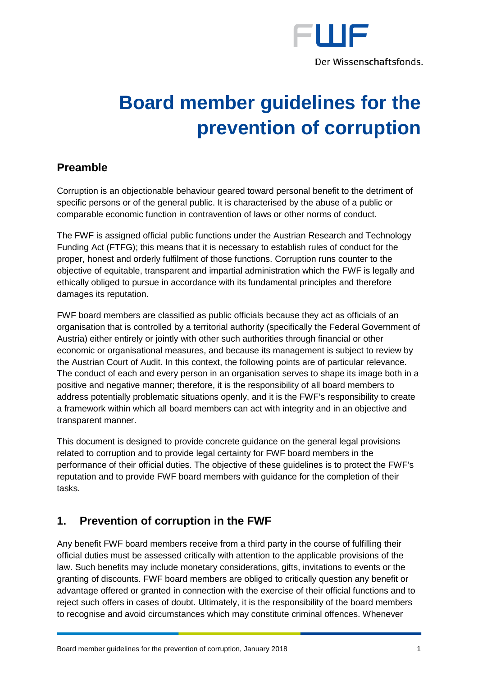

# **Board member guidelines for the prevention of corruption**

## **Preamble**

Corruption is an objectionable behaviour geared toward personal benefit to the detriment of specific persons or of the general public. It is characterised by the abuse of a public or comparable economic function in contravention of laws or other norms of conduct.

The FWF is assigned official public functions under the Austrian Research and Technology Funding Act (FTFG); this means that it is necessary to establish rules of conduct for the proper, honest and orderly fulfilment of those functions. Corruption runs counter to the objective of equitable, transparent and impartial administration which the FWF is legally and ethically obliged to pursue in accordance with its fundamental principles and therefore damages its reputation.

FWF board members are classified as public officials because they act as officials of an organisation that is controlled by a territorial authority (specifically the Federal Government of Austria) either entirely or jointly with other such authorities through financial or other economic or organisational measures, and because its management is subject to review by the Austrian Court of Audit. In this context, the following points are of particular relevance. The conduct of each and every person in an organisation serves to shape its image both in a positive and negative manner; therefore, it is the responsibility of all board members to address potentially problematic situations openly, and it is the FWF's responsibility to create a framework within which all board members can act with integrity and in an objective and transparent manner.

This document is designed to provide concrete guidance on the general legal provisions related to corruption and to provide legal certainty for FWF board members in the performance of their official duties. The objective of these guidelines is to protect the FWF's reputation and to provide FWF board members with guidance for the completion of their tasks.

## **1. Prevention of corruption in the FWF**

Any benefit FWF board members receive from a third party in the course of fulfilling their official duties must be assessed critically with attention to the applicable provisions of the law. Such benefits may include monetary considerations, gifts, invitations to events or the granting of discounts. FWF board members are obliged to critically question any benefit or advantage offered or granted in connection with the exercise of their official functions and to reject such offers in cases of doubt. Ultimately, it is the responsibility of the board members to recognise and avoid circumstances which may constitute criminal offences. Whenever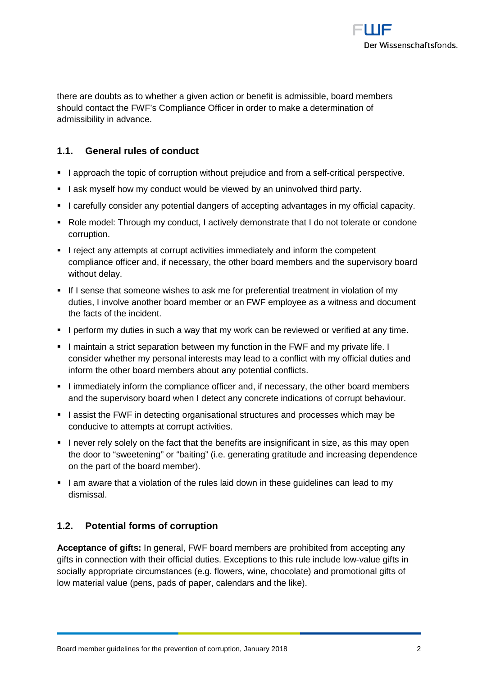

there are doubts as to whether a given action or benefit is admissible, board members should contact the FWF's Compliance Officer in order to make a determination of admissibility in advance.

### **1.1. General rules of conduct**

- I approach the topic of corruption without prejudice and from a self-critical perspective.
- I ask myself how my conduct would be viewed by an uninvolved third party.
- I carefully consider any potential dangers of accepting advantages in my official capacity.
- Role model: Through my conduct, I actively demonstrate that I do not tolerate or condone corruption.
- I reject any attempts at corrupt activities immediately and inform the competent compliance officer and, if necessary, the other board members and the supervisory board without delay.
- If I sense that someone wishes to ask me for preferential treatment in violation of my duties, I involve another board member or an FWF employee as a witness and document the facts of the incident.
- I perform my duties in such a way that my work can be reviewed or verified at any time.
- I maintain a strict separation between my function in the FWF and my private life. I consider whether my personal interests may lead to a conflict with my official duties and inform the other board members about any potential conflicts.
- I immediately inform the compliance officer and, if necessary, the other board members and the supervisory board when I detect any concrete indications of corrupt behaviour.
- I assist the FWF in detecting organisational structures and processes which may be conducive to attempts at corrupt activities.
- I never rely solely on the fact that the benefits are insignificant in size, as this may open the door to "sweetening" or "baiting" (i.e. generating gratitude and increasing dependence on the part of the board member).
- I am aware that a violation of the rules laid down in these guidelines can lead to my dismissal.

## **1.2. Potential forms of corruption**

**Acceptance of gifts:** In general, FWF board members are prohibited from accepting any gifts in connection with their official duties. Exceptions to this rule include low-value gifts in socially appropriate circumstances (e.g. flowers, wine, chocolate) and promotional gifts of low material value (pens, pads of paper, calendars and the like).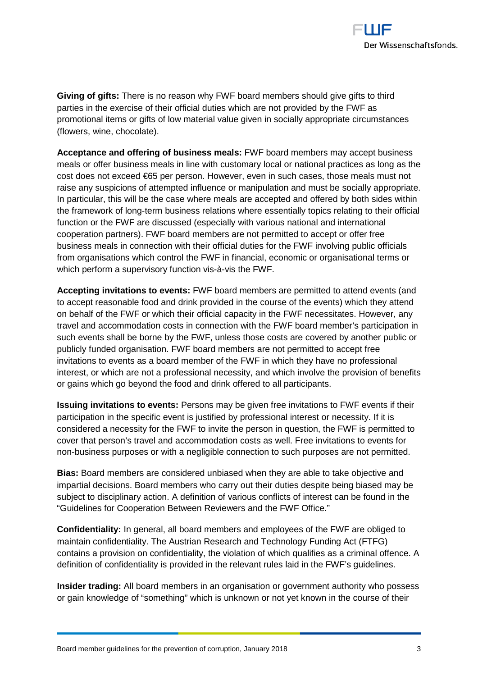

**Giving of gifts:** There is no reason why FWF board members should give gifts to third parties in the exercise of their official duties which are not provided by the FWF as promotional items or gifts of low material value given in socially appropriate circumstances (flowers, wine, chocolate).

**Acceptance and offering of business meals:** FWF board members may accept business meals or offer business meals in line with customary local or national practices as long as the cost does not exceed €65 per person. However, even in such cases, those meals must not raise any suspicions of attempted influence or manipulation and must be socially appropriate. In particular, this will be the case where meals are accepted and offered by both sides within the framework of long-term business relations where essentially topics relating to their official function or the FWF are discussed (especially with various national and international cooperation partners). FWF board members are not permitted to accept or offer free business meals in connection with their official duties for the FWF involving public officials from organisations which control the FWF in financial, economic or organisational terms or which perform a supervisory function vis-à-vis the FWF.

**Accepting invitations to events:** FWF board members are permitted to attend events (and to accept reasonable food and drink provided in the course of the events) which they attend on behalf of the FWF or which their official capacity in the FWF necessitates. However, any travel and accommodation costs in connection with the FWF board member's participation in such events shall be borne by the FWF, unless those costs are covered by another public or publicly funded organisation. FWF board members are not permitted to accept free invitations to events as a board member of the FWF in which they have no professional interest, or which are not a professional necessity, and which involve the provision of benefits or gains which go beyond the food and drink offered to all participants.

**Issuing invitations to events:** Persons may be given free invitations to FWF events if their participation in the specific event is justified by professional interest or necessity. If it is considered a necessity for the FWF to invite the person in question, the FWF is permitted to cover that person's travel and accommodation costs as well. Free invitations to events for non-business purposes or with a negligible connection to such purposes are not permitted.

**Bias:** Board members are considered unbiased when they are able to take objective and impartial decisions. Board members who carry out their duties despite being biased may be subject to disciplinary action. A definition of various conflicts of interest can be found in the "Guidelines for Cooperation Between Reviewers and the FWF Office."

**Confidentiality:** In general, all board members and employees of the FWF are obliged to maintain confidentiality. The Austrian Research and Technology Funding Act (FTFG) contains a provision on confidentiality, the violation of which qualifies as a criminal offence. A definition of confidentiality is provided in the relevant rules laid in the FWF's guidelines.

**Insider trading:** All board members in an organisation or government authority who possess or gain knowledge of "something" which is unknown or not yet known in the course of their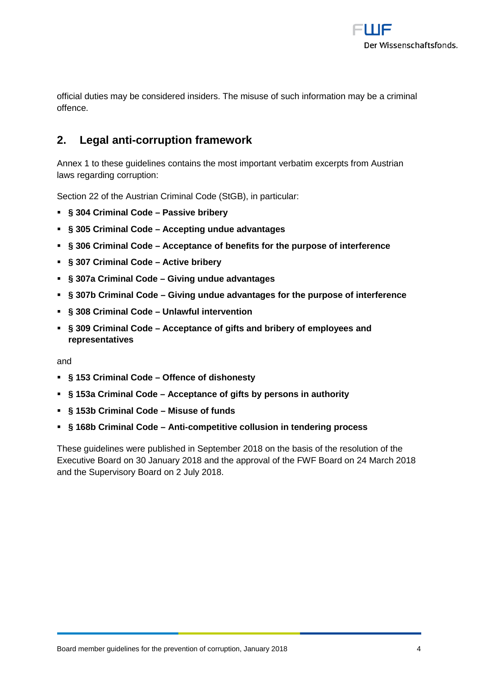

official duties may be considered insiders. The misuse of such information may be a criminal offence.

## **2. Legal anti-corruption framework**

Annex 1 to these guidelines contains the most important verbatim excerpts from Austrian laws regarding corruption:

Section 22 of the Austrian Criminal Code (StGB), in particular:

- **§ 304 Criminal Code – Passive bribery**
- **§ 305 Criminal Code – Accepting undue advantages**
- **§ 306 Criminal Code – Acceptance of benefits for the purpose of interference**
- **§ 307 Criminal Code – Active bribery**
- **§ 307a Criminal Code – Giving undue advantages**
- **§ 307b Criminal Code – Giving undue advantages for the purpose of interference**
- **§ 308 Criminal Code – Unlawful intervention**
- **§ 309 Criminal Code – Acceptance of gifts and bribery of employees and representatives**

and

- **§ 153 Criminal Code – Offence of dishonesty**
- **§ 153a Criminal Code – Acceptance of gifts by persons in authority**
- **§ 153b Criminal Code – Misuse of funds**
- **§ 168b Criminal Code – Anti-competitive collusion in tendering process**

These guidelines were published in September 2018 on the basis of the resolution of the Executive Board on 30 January 2018 and the approval of the FWF Board on 24 March 2018 and the Supervisory Board on 2 July 2018.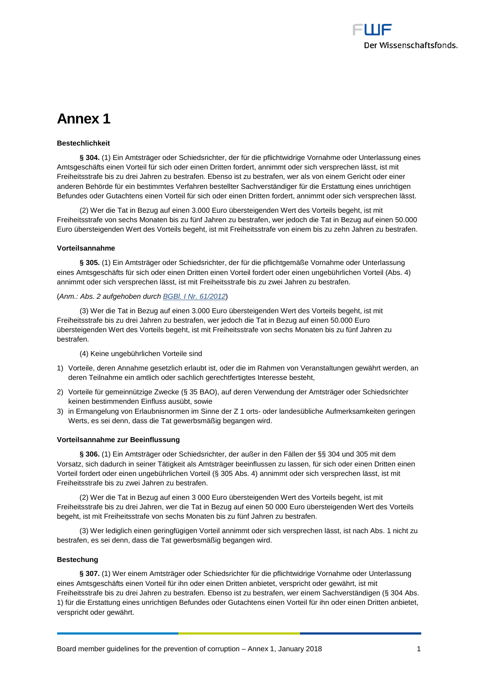## **Annex 1**

#### **Bestechlichkeit**

**§ 304.** (1) Ein Amtsträger oder Schiedsrichter, der für die pflichtwidrige Vornahme oder Unterlassung eines Amtsgeschäfts einen Vorteil für sich oder einen Dritten fordert, annimmt oder sich versprechen lässt, ist mit Freiheitsstrafe bis zu drei Jahren zu bestrafen. Ebenso ist zu bestrafen, wer als von einem Gericht oder einer anderen Behörde für ein bestimmtes Verfahren bestellter Sachverständiger für die Erstattung eines unrichtigen Befundes oder Gutachtens einen Vorteil für sich oder einen Dritten fordert, annimmt oder sich versprechen lässt.

(2) Wer die Tat in Bezug auf einen 3.000 Euro übersteigenden Wert des Vorteils begeht, ist mit Freiheitsstrafe von sechs Monaten bis zu fünf Jahren zu bestrafen, wer jedoch die Tat in Bezug auf einen 50.000 Euro übersteigenden Wert des Vorteils begeht, ist mit Freiheitsstrafe von einem bis zu zehn Jahren zu bestrafen.

#### **Vorteilsannahme**

**§ 305.** (1) Ein Amtsträger oder Schiedsrichter, der für die pflichtgemäße Vornahme oder Unterlassung eines Amtsgeschäfts für sich oder einen Dritten einen Vorteil fordert oder einen ungebührlichen Vorteil (Abs. 4) annimmt oder sich versprechen lässt, ist mit Freiheitsstrafe bis zu zwei Jahren zu bestrafen.

#### (*Anm.: Abs. 2 aufgehoben durch [BGBl. I Nr. 61/2012](https://www.ris.bka.gv.at/Dokument.wxe?Abfrage=BgblAuth&Dokumentnummer=BGBLA_2012_I_61)*)

(3) Wer die Tat in Bezug auf einen 3.000 Euro übersteigenden Wert des Vorteils begeht, ist mit Freiheitsstrafe bis zu drei Jahren zu bestrafen, wer jedoch die Tat in Bezug auf einen 50.000 Euro übersteigenden Wert des Vorteils begeht, ist mit Freiheitsstrafe von sechs Monaten bis zu fünf Jahren zu bestrafen.

(4) Keine ungebührlichen Vorteile sind

- 1) Vorteile, deren Annahme gesetzlich erlaubt ist, oder die im Rahmen von Veranstaltungen gewährt werden, an deren Teilnahme ein amtlich oder sachlich gerechtfertigtes Interesse besteht,
- 2) Vorteile für gemeinnützige Zwecke (§ 35 BAO), auf deren Verwendung der Amtsträger oder Schiedsrichter keinen bestimmenden Einfluss ausübt, sowie
- 3) in Ermangelung von Erlaubnisnormen im Sinne der Z 1 orts- oder landesübliche Aufmerksamkeiten geringen Werts, es sei denn, dass die Tat gewerbsmäßig begangen wird.

#### **Vorteilsannahme zur Beeinflussung**

**§ 306.** (1) Ein Amtsträger oder Schiedsrichter, der außer in den Fällen der §§ 304 und 305 mit dem Vorsatz, sich dadurch in seiner Tätigkeit als Amtsträger beeinflussen zu lassen, für sich oder einen Dritten einen Vorteil fordert oder einen ungebührlichen Vorteil (§ 305 Abs. 4) annimmt oder sich versprechen lässt, ist mit Freiheitsstrafe bis zu zwei Jahren zu bestrafen.

(2) Wer die Tat in Bezug auf einen 3 000 Euro übersteigenden Wert des Vorteils begeht, ist mit Freiheitsstrafe bis zu drei Jahren, wer die Tat in Bezug auf einen 50 000 Euro übersteigenden Wert des Vorteils begeht, ist mit Freiheitsstrafe von sechs Monaten bis zu fünf Jahren zu bestrafen.

(3) Wer lediglich einen geringfügigen Vorteil annimmt oder sich versprechen lässt, ist nach Abs. 1 nicht zu bestrafen, es sei denn, dass die Tat gewerbsmäßig begangen wird.

#### **Bestechung**

§ 307. (1) Wer einem Amtsträger oder Schiedsrichter für die pflichtwidrige Vornahme oder Unterlassung eines Amtsgeschäfts einen Vorteil für ihn oder einen Dritten anbietet, verspricht oder gewährt, ist mit Freiheitsstrafe bis zu drei Jahren zu bestrafen. Ebenso ist zu bestrafen, wer einem Sachverständigen (§ 304 Abs. 1) für die Erstattung eines unrichtigen Befundes oder Gutachtens einen Vorteil für ihn oder einen Dritten anbietet, verspricht oder gewährt.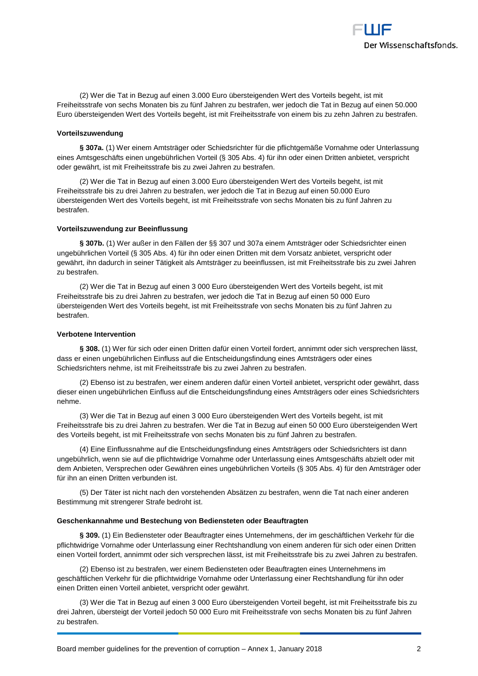

(2) Wer die Tat in Bezug auf einen 3.000 Euro übersteigenden Wert des Vorteils begeht, ist mit Freiheitsstrafe von sechs Monaten bis zu fünf Jahren zu bestrafen, wer jedoch die Tat in Bezug auf einen 50.000 Euro übersteigenden Wert des Vorteils begeht, ist mit Freiheitsstrafe von einem bis zu zehn Jahren zu bestrafen.

#### **Vorteilszuwendung**

**§ 307a.** (1) Wer einem Amtsträger oder Schiedsrichter für die pflichtgemäße Vornahme oder Unterlassung eines Amtsgeschäfts einen ungebührlichen Vorteil (§ 305 Abs. 4) für ihn oder einen Dritten anbietet, verspricht oder gewährt, ist mit Freiheitsstrafe bis zu zwei Jahren zu bestrafen.

(2) Wer die Tat in Bezug auf einen 3.000 Euro übersteigenden Wert des Vorteils begeht, ist mit Freiheitsstrafe bis zu drei Jahren zu bestrafen, wer jedoch die Tat in Bezug auf einen 50.000 Euro übersteigenden Wert des Vorteils begeht, ist mit Freiheitsstrafe von sechs Monaten bis zu fünf Jahren zu bestrafen.

#### **Vorteilszuwendung zur Beeinflussung**

**§ 307b.** (1) Wer außer in den Fällen der §§ 307 und 307a einem Amtsträger oder Schiedsrichter einen ungebührlichen Vorteil (§ 305 Abs. 4) für ihn oder einen Dritten mit dem Vorsatz anbietet, verspricht oder gewährt, ihn dadurch in seiner Tätigkeit als Amtsträger zu beeinflussen, ist mit Freiheitsstrafe bis zu zwei Jahren zu bestrafen.

(2) Wer die Tat in Bezug auf einen 3 000 Euro übersteigenden Wert des Vorteils begeht, ist mit Freiheitsstrafe bis zu drei Jahren zu bestrafen, wer jedoch die Tat in Bezug auf einen 50 000 Euro übersteigenden Wert des Vorteils begeht, ist mit Freiheitsstrafe von sechs Monaten bis zu fünf Jahren zu bestrafen.

#### **Verbotene Intervention**

**§ 308.** (1) Wer für sich oder einen Dritten dafür einen Vorteil fordert, annimmt oder sich versprechen lässt, dass er einen ungebührlichen Einfluss auf die Entscheidungsfindung eines Amtsträgers oder eines Schiedsrichters nehme, ist mit Freiheitsstrafe bis zu zwei Jahren zu bestrafen.

(2) Ebenso ist zu bestrafen, wer einem anderen dafür einen Vorteil anbietet, verspricht oder gewährt, dass dieser einen ungebührlichen Einfluss auf die Entscheidungsfindung eines Amtsträgers oder eines Schiedsrichters nehme.

(3) Wer die Tat in Bezug auf einen 3 000 Euro übersteigenden Wert des Vorteils begeht, ist mit Freiheitsstrafe bis zu drei Jahren zu bestrafen. Wer die Tat in Bezug auf einen 50 000 Euro übersteigenden Wert des Vorteils begeht, ist mit Freiheitsstrafe von sechs Monaten bis zu fünf Jahren zu bestrafen.

(4) Eine Einflussnahme auf die Entscheidungsfindung eines Amtsträgers oder Schiedsrichters ist dann ungebührlich, wenn sie auf die pflichtwidrige Vornahme oder Unterlassung eines Amtsgeschäfts abzielt oder mit dem Anbieten, Versprechen oder Gewähren eines ungebührlichen Vorteils (§ 305 Abs. 4) für den Amtsträger oder für ihn an einen Dritten verbunden ist.

(5) Der Täter ist nicht nach den vorstehenden Absätzen zu bestrafen, wenn die Tat nach einer anderen Bestimmung mit strengerer Strafe bedroht ist.

#### **Geschenkannahme und Bestechung von Bediensteten oder Beauftragten**

**§ 309.** (1) Ein Bediensteter oder Beauftragter eines Unternehmens, der im geschäftlichen Verkehr für die pflichtwidrige Vornahme oder Unterlassung einer Rechtshandlung von einem anderen für sich oder einen Dritten einen Vorteil fordert, annimmt oder sich versprechen lässt, ist mit Freiheitsstrafe bis zu zwei Jahren zu bestrafen.

(2) Ebenso ist zu bestrafen, wer einem Bediensteten oder Beauftragten eines Unternehmens im geschäftlichen Verkehr für die pflichtwidrige Vornahme oder Unterlassung einer Rechtshandlung für ihn oder einen Dritten einen Vorteil anbietet, verspricht oder gewährt.

(3) Wer die Tat in Bezug auf einen 3 000 Euro übersteigenden Vorteil begeht, ist mit Freiheitsstrafe bis zu drei Jahren, übersteigt der Vorteil jedoch 50 000 Euro mit Freiheitsstrafe von sechs Monaten bis zu fünf Jahren zu bestrafen.